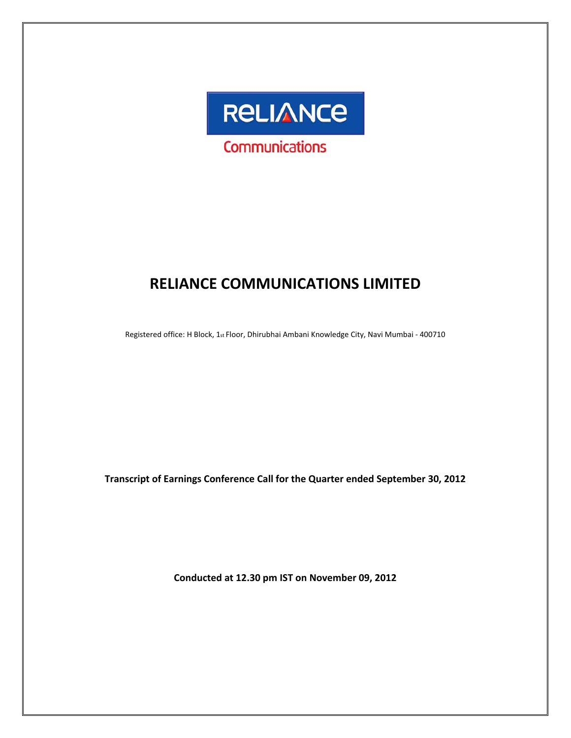

# **RELIANCE COMMUNICATIONS LIMITED**

Registered office: H Block, 1st Floor, Dhirubhai Ambani Knowledge City, Navi Mumbai - 400710

**Transcript of Earnings Conference Call for the Quarter ended September 30, 2012**

**Conducted at 12.30 pm IST on November 09, 2012**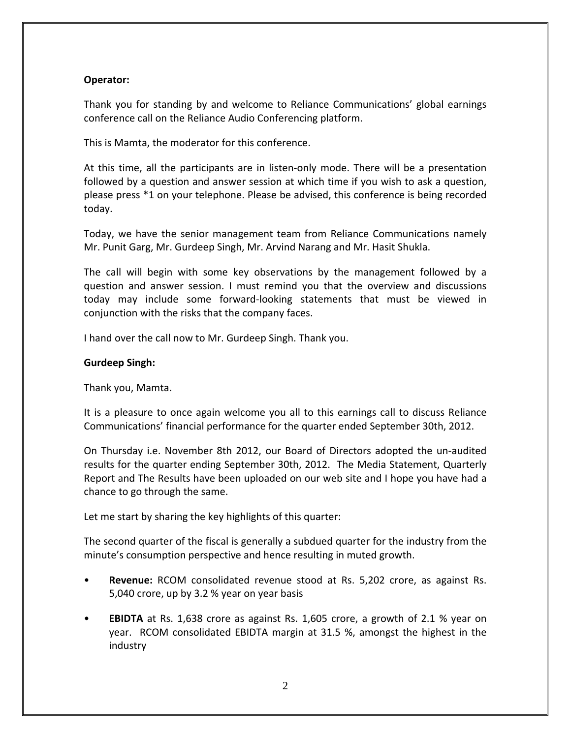# **Operator:**

Thank you for standing by and welcome to Reliance Communications' global earnings conference call on the Reliance Audio Conferencing platform.

This is Mamta, the moderator for this conference.

At this time, all the participants are in listen-only mode. There will be a presentation followed by a question and answer session at which time if you wish to ask a question, please press \*1 on your telephone. Please be advised, this conference is being recorded today.

Today, we have the senior management team from Reliance Communications namely Mr. Punit Garg, Mr. Gurdeep Singh, Mr. Arvind Narang and Mr. Hasit Shukla.

The call will begin with some key observations by the management followed by a question and answer session. I must remind you that the overview and discussions today may include some forward‐looking statements that must be viewed in conjunction with the risks that the company faces.

I hand over the call now to Mr. Gurdeep Singh. Thank you.

# **Gurdeep Singh:**

Thank you, Mamta.

It is a pleasure to once again welcome you all to this earnings call to discuss Reliance Communications' financial performance for the quarter ended September 30th, 2012.

On Thursday i.e. November 8th 2012, our Board of Directors adopted the un‐audited results for the quarter ending September 30th, 2012. The Media Statement, Quarterly Report and The Results have been uploaded on our web site and I hope you have had a chance to go through the same.

Let me start by sharing the key highlights of this quarter:

The second quarter of the fiscal is generally a subdued quarter for the industry from the minute's consumption perspective and hence resulting in muted growth.

- **Revenue:** RCOM consolidated revenue stood at Rs. 5,202 crore, as against Rs. 5,040 crore, up by 3.2 % year on year basis
- **EBIDTA** at Rs. 1,638 crore as against Rs. 1,605 crore, a growth of 2.1 % year on year. RCOM consolidated EBIDTA margin at 31.5 %, amongst the highest in the industry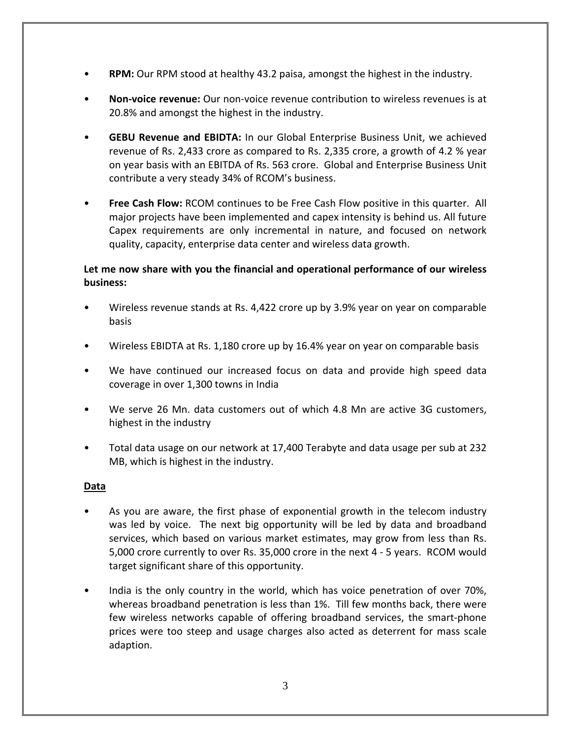- **RPM:** Our RPM stood at healthy 43.2 paisa, amongst the highest in the industry.
- **Non‐voice revenue:** Our non‐voice revenue contribution to wireless revenues is at 20.8% and amongst the highest in the industry.
- **GEBU Revenue and EBIDTA:** In our Global Enterprise Business Unit, we achieved revenue of Rs. 2,433 crore as compared to Rs. 2,335 crore, a growth of 4.2 % year on year basis with an EBITDA of Rs. 563 crore. Global and Enterprise Business Unit contribute a very steady 34% of RCOM's business.
- **Free Cash Flow:** RCOM continues to be Free Cash Flow positive in this quarter. All major projects have been implemented and capex intensity is behind us. All future Capex requirements are only incremental in nature, and focused on network quality, capacity, enterprise data center and wireless data growth.

# **Let me now share with you the financial and operational performance of our wireless business:**

- Wireless revenue stands at Rs. 4,422 crore up by 3.9% year on year on comparable basis
- Wireless EBIDTA at Rs. 1,180 crore up by 16.4% year on year on comparable basis
- We have continued our increased focus on data and provide high speed data coverage in over 1,300 towns in India
- We serve 26 Mn. data customers out of which 4.8 Mn are active 3G customers, highest in the industry
- Total data usage on our network at 17,400 Terabyte and data usage per sub at 232 MB, which is highest in the industry.

# **Data**

- As you are aware, the first phase of exponential growth in the telecom industry was led by voice. The next big opportunity will be led by data and broadband services, which based on various market estimates, may grow from less than Rs. 5,000 crore currently to over Rs. 35,000 crore in the next 4 ‐ 5 years. RCOM would target significant share of this opportunity.
- India is the only country in the world, which has voice penetration of over 70%, whereas broadband penetration is less than 1%. Till few months back, there were few wireless networks capable of offering broadband services, the smart‐phone prices were too steep and usage charges also acted as deterrent for mass scale adaption.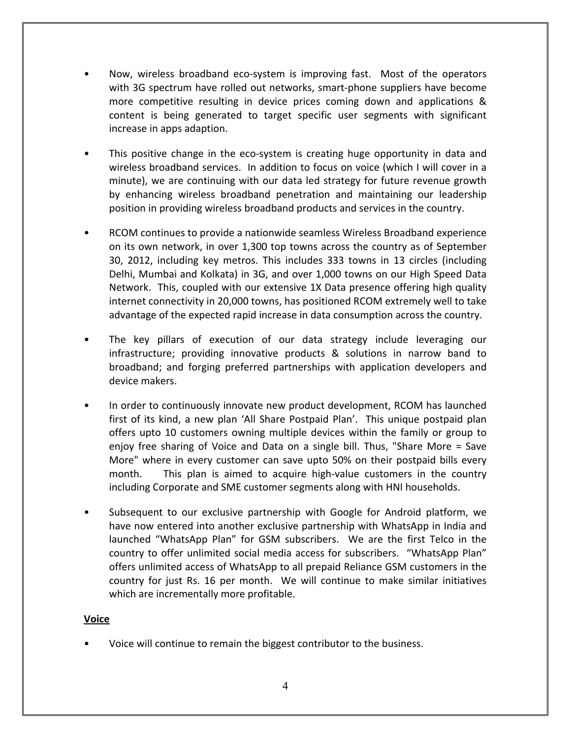- Now, wireless broadband eco‐system is improving fast. Most of the operators with 3G spectrum have rolled out networks, smart-phone suppliers have become more competitive resulting in device prices coming down and applications & content is being generated to target specific user segments with significant increase in apps adaption.
- This positive change in the eco-system is creating huge opportunity in data and wireless broadband services. In addition to focus on voice (which I will cover in a minute), we are continuing with our data led strategy for future revenue growth by enhancing wireless broadband penetration and maintaining our leadership position in providing wireless broadband products and services in the country.
- RCOM continues to provide a nationwide seamless Wireless Broadband experience on its own network, in over 1,300 top towns across the country as of September 30, 2012, including key metros. This includes 333 towns in 13 circles (including Delhi, Mumbai and Kolkata) in 3G, and over 1,000 towns on our High Speed Data Network. This, coupled with our extensive 1X Data presence offering high quality internet connectivity in 20,000 towns, has positioned RCOM extremely well to take advantage of the expected rapid increase in data consumption across the country.
- The key pillars of execution of our data strategy include leveraging our infrastructure; providing innovative products & solutions in narrow band to broadband; and forging preferred partnerships with application developers and device makers.
- In order to continuously innovate new product development, RCOM has launched first of its kind, a new plan 'All Share Postpaid Plan'. This unique postpaid plan offers upto 10 customers owning multiple devices within the family or group to enjoy free sharing of Voice and Data on a single bill. Thus, "Share More = Save More" where in every customer can save upto 50% on their postpaid bills every month. This plan is aimed to acquire high-value customers in the country including Corporate and SME customer segments along with HNI households.
- Subsequent to our exclusive partnership with Google for Android platform, we have now entered into another exclusive partnership with WhatsApp in India and launched "WhatsApp Plan" for GSM subscribers. We are the first Telco in the country to offer unlimited social media access for subscribers. "WhatsApp Plan" offers unlimited access of WhatsApp to all prepaid Reliance GSM customers in the country for just Rs. 16 per month. We will continue to make similar initiatives which are incrementally more profitable.

# **Voice**

• Voice will continue to remain the biggest contributor to the business.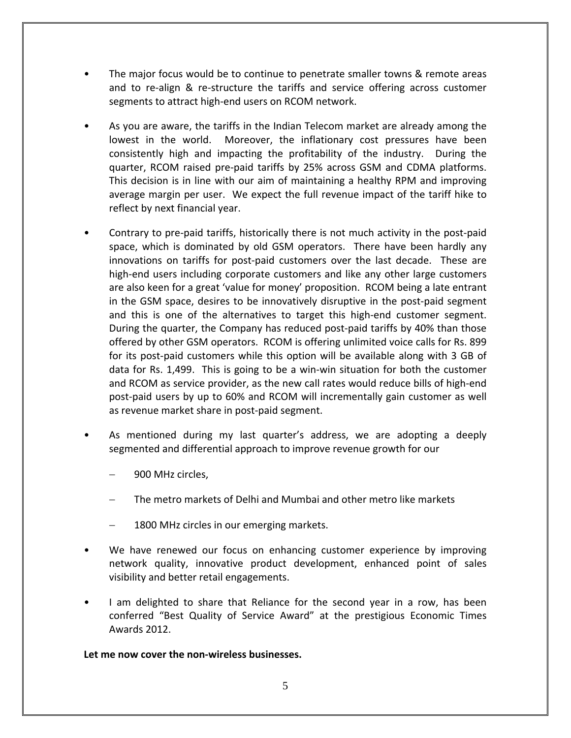- The major focus would be to continue to penetrate smaller towns & remote areas and to re-align & re-structure the tariffs and service offering across customer segments to attract high-end users on RCOM network.
- As you are aware, the tariffs in the Indian Telecom market are already among the lowest in the world. Moreover, the inflationary cost pressures have been consistently high and impacting the profitability of the industry. During the quarter, RCOM raised pre‐paid tariffs by 25% across GSM and CDMA platforms. This decision is in line with our aim of maintaining a healthy RPM and improving average margin per user. We expect the full revenue impact of the tariff hike to reflect by next financial year.
- Contrary to pre‐paid tariffs, historically there is not much activity in the post‐paid space, which is dominated by old GSM operators. There have been hardly any innovations on tariffs for post-paid customers over the last decade. These are high-end users including corporate customers and like any other large customers are also keen for a great 'value for money' proposition. RCOM being a late entrant in the GSM space, desires to be innovatively disruptive in the post-paid segment and this is one of the alternatives to target this high-end customer segment. During the quarter, the Company has reduced post‐paid tariffs by 40% than those offered by other GSM operators. RCOM is offering unlimited voice calls for Rs. 899 for its post‐paid customers while this option will be available along with 3 GB of data for Rs. 1,499. This is going to be a win‐win situation for both the customer and RCOM as service provider, as the new call rates would reduce bills of high‐end post‐paid users by up to 60% and RCOM will incrementally gain customer as well as revenue market share in post‐paid segment.
- As mentioned during my last quarter's address, we are adopting a deeply segmented and differential approach to improve revenue growth for our
	- − 900 MHz circles,
	- The metro markets of Delhi and Mumbai and other metro like markets
	- 1800 MHz circles in our emerging markets.
- We have renewed our focus on enhancing customer experience by improving network quality, innovative product development, enhanced point of sales visibility and better retail engagements.
- I am delighted to share that Reliance for the second year in a row, has been conferred "Best Quality of Service Award" at the prestigious Economic Times Awards 2012.

# **Let me now cover the non‐wireless businesses.**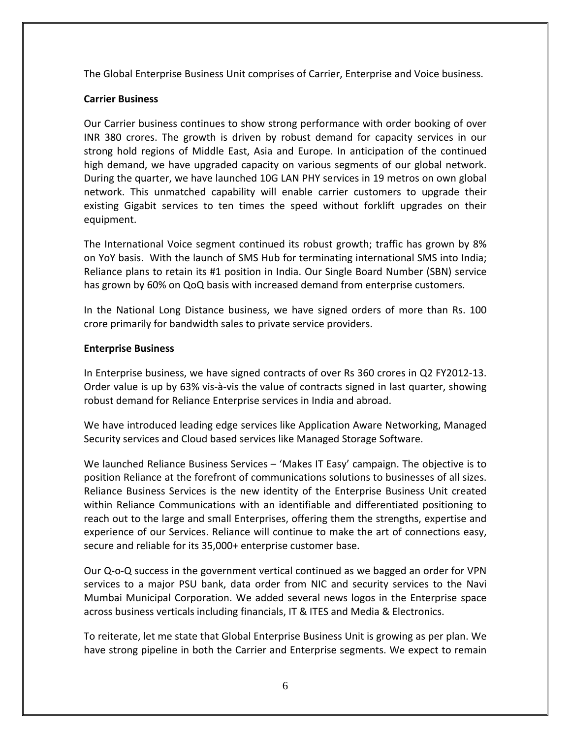The Global Enterprise Business Unit comprises of Carrier, Enterprise and Voice business.

# **Carrier Business**

Our Carrier business continues to show strong performance with order booking of over INR 380 crores. The growth is driven by robust demand for capacity services in our strong hold regions of Middle East, Asia and Europe. In anticipation of the continued high demand, we have upgraded capacity on various segments of our global network. During the quarter, we have launched 10G LAN PHY services in 19 metros on own global network. This unmatched capability will enable carrier customers to upgrade their existing Gigabit services to ten times the speed without forklift upgrades on their equipment.

The International Voice segment continued its robust growth; traffic has grown by 8% on YoY basis. With the launch of SMS Hub for terminating international SMS into India; Reliance plans to retain its #1 position in India. Our Single Board Number (SBN) service has grown by 60% on QoQ basis with increased demand from enterprise customers.

In the National Long Distance business, we have signed orders of more than Rs. 100 crore primarily for bandwidth sales to private service providers.

# **Enterprise Business**

In Enterprise business, we have signed contracts of over Rs 360 crores in Q2 FY2012‐13. Order value is up by 63% vis‐à‐vis the value of contracts signed in last quarter, showing robust demand for Reliance Enterprise services in India and abroad.

We have introduced leading edge services like Application Aware Networking, Managed Security services and Cloud based services like Managed Storage Software.

We launched Reliance Business Services – 'Makes IT Easy' campaign. The objective is to position Reliance at the forefront of communications solutions to businesses of all sizes. Reliance Business Services is the new identity of the Enterprise Business Unit created within Reliance Communications with an identifiable and differentiated positioning to reach out to the large and small Enterprises, offering them the strengths, expertise and experience of our Services. Reliance will continue to make the art of connections easy, secure and reliable for its 35,000+ enterprise customer base.

Our Q‐o‐Q success in the government vertical continued as we bagged an order for VPN services to a major PSU bank, data order from NIC and security services to the Navi Mumbai Municipal Corporation. We added several news logos in the Enterprise space across business verticals including financials, IT & ITES and Media & Electronics.

To reiterate, let me state that Global Enterprise Business Unit is growing as per plan. We have strong pipeline in both the Carrier and Enterprise segments. We expect to remain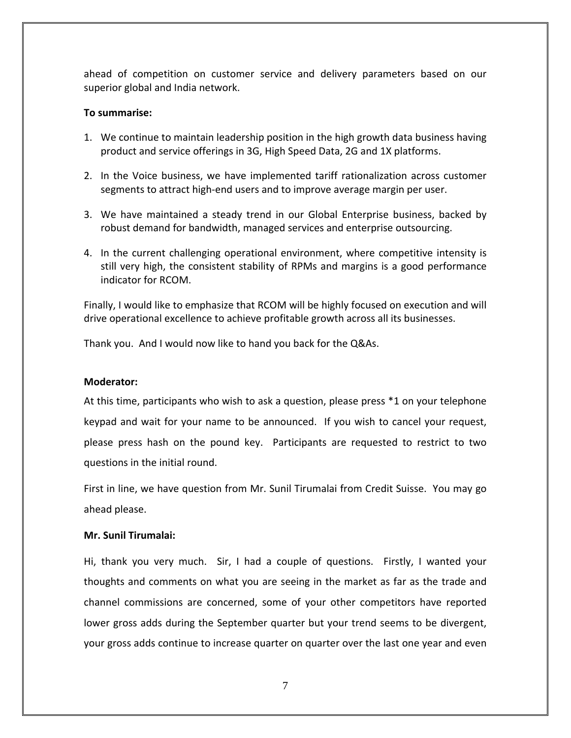ahead of competition on customer service and delivery parameters based on our superior global and India network.

### **To summarise:**

- 1. We continue to maintain leadership position in the high growth data business having product and service offerings in 3G, High Speed Data, 2G and 1X platforms.
- 2. In the Voice business, we have implemented tariff rationalization across customer segments to attract high-end users and to improve average margin per user.
- 3. We have maintained a steady trend in our Global Enterprise business, backed by robust demand for bandwidth, managed services and enterprise outsourcing.
- 4. In the current challenging operational environment, where competitive intensity is still very high, the consistent stability of RPMs and margins is a good performance indicator for RCOM.

Finally, I would like to emphasize that RCOM will be highly focused on execution and will drive operational excellence to achieve profitable growth across all its businesses.

Thank you. And I would now like to hand you back for the Q&As.

# **Moderator:**

At this time, participants who wish to ask a question, please press \*1 on your telephone keypad and wait for your name to be announced. If you wish to cancel your request, please press hash on the pound key. Participants are requested to restrict to two questions in the initial round.

First in line, we have question from Mr. Sunil Tirumalai from Credit Suisse. You may go ahead please.

# **Mr. Sunil Tirumalai:**

Hi, thank you very much. Sir, I had a couple of questions. Firstly, I wanted your thoughts and comments on what you are seeing in the market as far as the trade and channel commissions are concerned, some of your other competitors have reported lower gross adds during the September quarter but your trend seems to be divergent, your gross adds continue to increase quarter on quarter over the last one year and even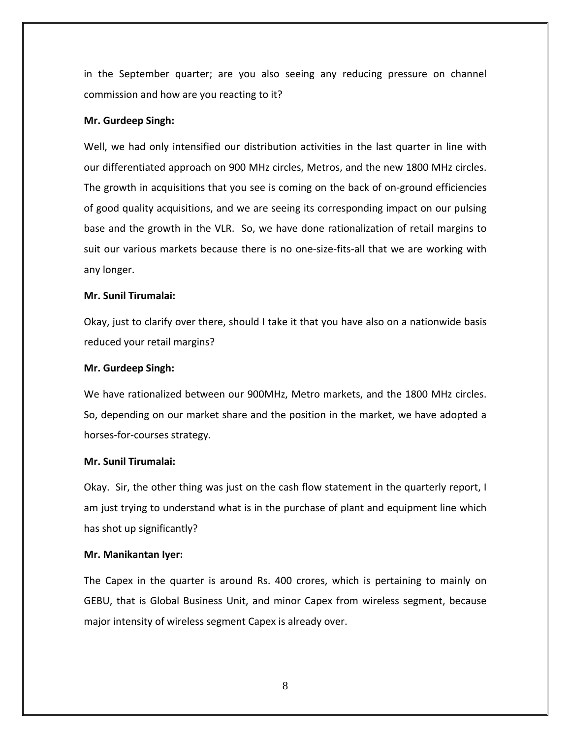in the September quarter; are you also seeing any reducing pressure on channel commission and how are you reacting to it?

#### **Mr. Gurdeep Singh:**

Well, we had only intensified our distribution activities in the last quarter in line with our differentiated approach on 900 MHz circles, Metros, and the new 1800 MHz circles. The growth in acquisitions that you see is coming on the back of on‐ground efficiencies of good quality acquisitions, and we are seeing its corresponding impact on our pulsing base and the growth in the VLR. So, we have done rationalization of retail margins to suit our various markets because there is no one‐size‐fits‐all that we are working with any longer.

#### **Mr. Sunil Tirumalai:**

Okay, just to clarify over there, should I take it that you have also on a nationwide basis reduced your retail margins?

#### **Mr. Gurdeep Singh:**

We have rationalized between our 900MHz, Metro markets, and the 1800 MHz circles. So, depending on our market share and the position in the market, we have adopted a horses‐for‐courses strategy.

## **Mr. Sunil Tirumalai:**

Okay. Sir, the other thing was just on the cash flow statement in the quarterly report, I am just trying to understand what is in the purchase of plant and equipment line which has shot up significantly?

#### **Mr. Manikantan Iyer:**

The Capex in the quarter is around Rs. 400 crores, which is pertaining to mainly on GEBU, that is Global Business Unit, and minor Capex from wireless segment, because major intensity of wireless segment Capex is already over.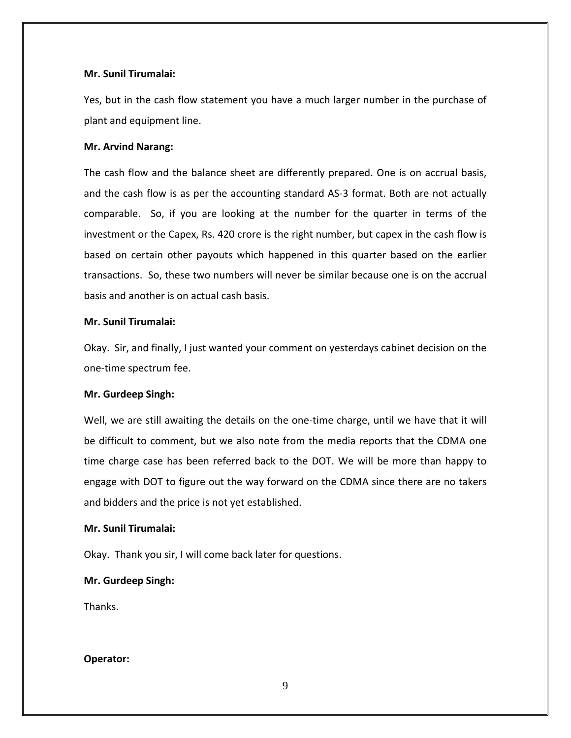### **Mr. Sunil Tirumalai:**

Yes, but in the cash flow statement you have a much larger number in the purchase of plant and equipment line.

#### **Mr. Arvind Narang:**

The cash flow and the balance sheet are differently prepared. One is on accrual basis, and the cash flow is as per the accounting standard AS‐3 format. Both are not actually comparable. So, if you are looking at the number for the quarter in terms of the investment or the Capex, Rs. 420 crore is the right number, but capex in the cash flow is based on certain other payouts which happened in this quarter based on the earlier transactions. So, these two numbers will never be similar because one is on the accrual basis and another is on actual cash basis.

#### **Mr. Sunil Tirumalai:**

Okay. Sir, and finally, I just wanted your comment on yesterdays cabinet decision on the one‐time spectrum fee.

#### **Mr. Gurdeep Singh:**

Well, we are still awaiting the details on the one-time charge, until we have that it will be difficult to comment, but we also note from the media reports that the CDMA one time charge case has been referred back to the DOT. We will be more than happy to engage with DOT to figure out the way forward on the CDMA since there are no takers and bidders and the price is not yet established.

#### **Mr. Sunil Tirumalai:**

Okay. Thank you sir, I will come back later for questions.

### **Mr. Gurdeep Singh:**

Thanks.

### **Operator:**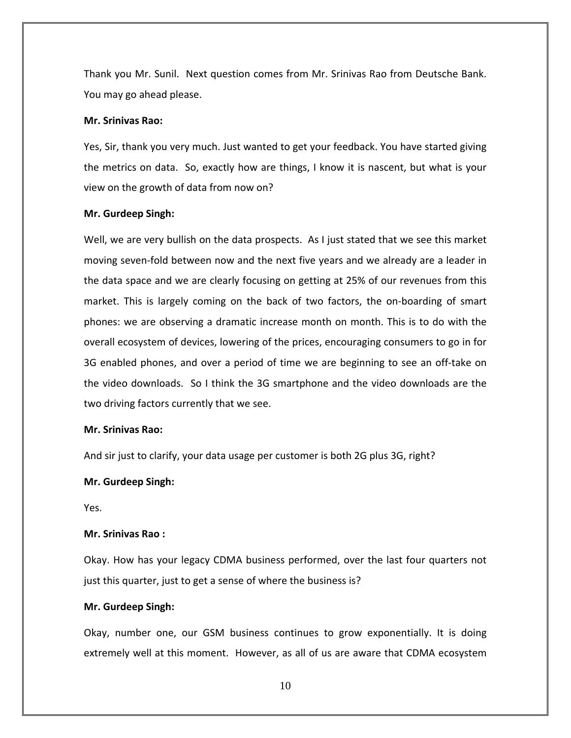Thank you Mr. Sunil. Next question comes from Mr. Srinivas Rao from Deutsche Bank. You may go ahead please.

#### **Mr. Srinivas Rao:**

Yes, Sir, thank you very much. Just wanted to get your feedback. You have started giving the metrics on data. So, exactly how are things, I know it is nascent, but what is your view on the growth of data from now on?

#### **Mr. Gurdeep Singh:**

Well, we are very bullish on the data prospects. As I just stated that we see this market moving seven‐fold between now and the next five years and we already are a leader in the data space and we are clearly focusing on getting at 25% of our revenues from this market. This is largely coming on the back of two factors, the on‐boarding of smart phones: we are observing a dramatic increase month on month. This is to do with the overall ecosystem of devices, lowering of the prices, encouraging consumers to go in for 3G enabled phones, and over a period of time we are beginning to see an off‐take on the video downloads. So I think the 3G smartphone and the video downloads are the two driving factors currently that we see.

#### **Mr. Srinivas Rao:**

And sir just to clarify, your data usage per customer is both 2G plus 3G, right?

#### **Mr. Gurdeep Singh:**

Yes.

#### **Mr. Srinivas Rao :**

Okay. How has your legacy CDMA business performed, over the last four quarters not just this quarter, just to get a sense of where the business is?

#### **Mr. Gurdeep Singh:**

Okay, number one, our GSM business continues to grow exponentially. It is doing extremely well at this moment. However, as all of us are aware that CDMA ecosystem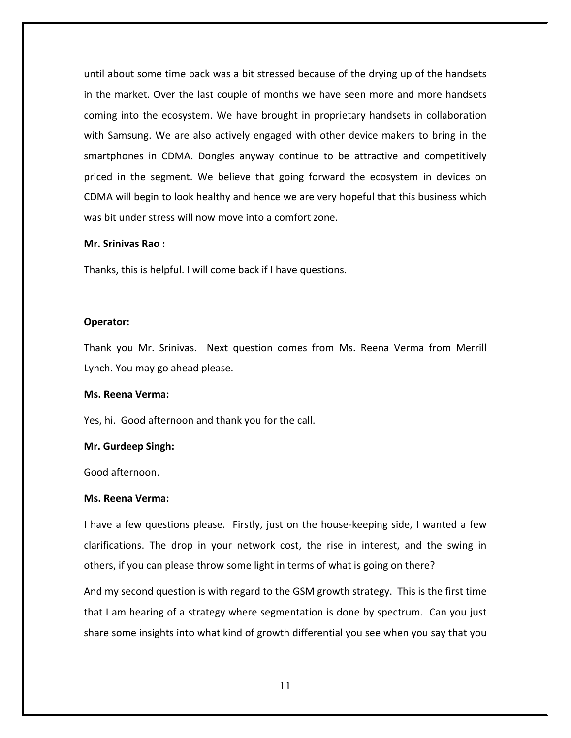until about some time back was a bit stressed because of the drying up of the handsets in the market. Over the last couple of months we have seen more and more handsets coming into the ecosystem. We have brought in proprietary handsets in collaboration with Samsung. We are also actively engaged with other device makers to bring in the smartphones in CDMA. Dongles anyway continue to be attractive and competitively priced in the segment. We believe that going forward the ecosystem in devices on CDMA will begin to look healthy and hence we are very hopeful that this business which was bit under stress will now move into a comfort zone.

#### **Mr. Srinivas Rao :**

Thanks, this is helpful. I will come back if I have questions.

#### **Operator:**

Thank you Mr. Srinivas. Next question comes from Ms. Reena Verma from Merrill Lynch. You may go ahead please.

#### **Ms. Reena Verma:**

Yes, hi. Good afternoon and thank you for the call.

#### **Mr. Gurdeep Singh:**

Good afternoon.

#### **Ms. Reena Verma:**

I have a few questions please. Firstly, just on the house-keeping side, I wanted a few clarifications. The drop in your network cost, the rise in interest, and the swing in others, if you can please throw some light in terms of what is going on there?

And my second question is with regard to the GSM growth strategy. This is the first time that I am hearing of a strategy where segmentation is done by spectrum. Can you just share some insights into what kind of growth differential you see when you say that you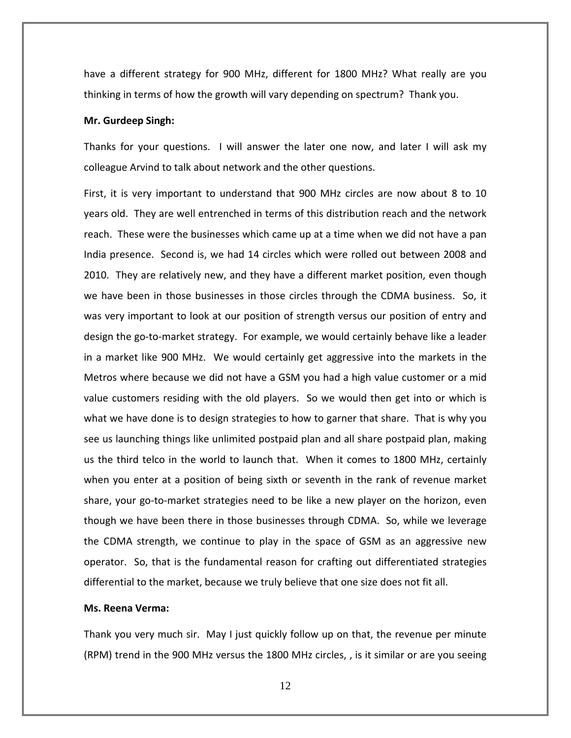have a different strategy for 900 MHz, different for 1800 MHz? What really are you thinking in terms of how the growth will vary depending on spectrum? Thank you.

#### **Mr. Gurdeep Singh:**

Thanks for your questions. I will answer the later one now, and later I will ask my colleague Arvind to talk about network and the other questions.

First, it is very important to understand that 900 MHz circles are now about 8 to 10 years old. They are well entrenched in terms of this distribution reach and the network reach. These were the businesses which came up at a time when we did not have a pan India presence. Second is, we had 14 circles which were rolled out between 2008 and 2010. They are relatively new, and they have a different market position, even though we have been in those businesses in those circles through the CDMA business. So, it was very important to look at our position of strength versus our position of entry and design the go‐to‐market strategy. For example, we would certainly behave like a leader in a market like 900 MHz. We would certainly get aggressive into the markets in the Metros where because we did not have a GSM you had a high value customer or a mid value customers residing with the old players. So we would then get into or which is what we have done is to design strategies to how to garner that share. That is why you see us launching things like unlimited postpaid plan and all share postpaid plan, making us the third telco in the world to launch that. When it comes to 1800 MHz, certainly when you enter at a position of being sixth or seventh in the rank of revenue market share, your go‐to‐market strategies need to be like a new player on the horizon, even though we have been there in those businesses through CDMA. So, while we leverage the CDMA strength, we continue to play in the space of GSM as an aggressive new operator. So, that is the fundamental reason for crafting out differentiated strategies differential to the market, because we truly believe that one size does not fit all.

#### **Ms. Reena Verma:**

Thank you very much sir. May I just quickly follow up on that, the revenue per minute (RPM) trend in the 900 MHz versus the 1800 MHz circles, , is it similar or are you seeing

12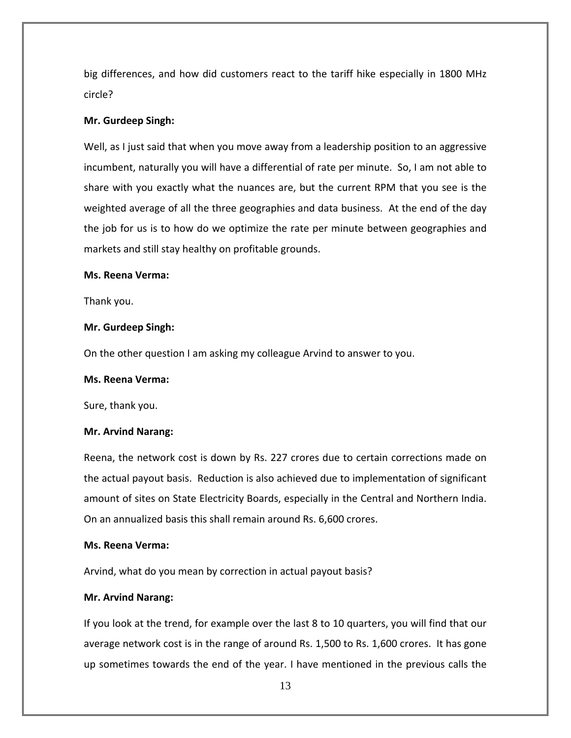big differences, and how did customers react to the tariff hike especially in 1800 MHz circle?

### **Mr. Gurdeep Singh:**

Well, as I just said that when you move away from a leadership position to an aggressive incumbent, naturally you will have a differential of rate per minute. So, I am not able to share with you exactly what the nuances are, but the current RPM that you see is the weighted average of all the three geographies and data business. At the end of the day the job for us is to how do we optimize the rate per minute between geographies and markets and still stay healthy on profitable grounds.

### **Ms. Reena Verma:**

Thank you.

### **Mr. Gurdeep Singh:**

On the other question I am asking my colleague Arvind to answer to you.

#### **Ms. Reena Verma:**

Sure, thank you.

### **Mr. Arvind Narang:**

Reena, the network cost is down by Rs. 227 crores due to certain corrections made on the actual payout basis. Reduction is also achieved due to implementation of significant amount of sites on State Electricity Boards, especially in the Central and Northern India. On an annualized basis this shall remain around Rs. 6,600 crores.

### **Ms. Reena Verma:**

Arvind, what do you mean by correction in actual payout basis?

### **Mr. Arvind Narang:**

If you look at the trend, for example over the last 8 to 10 quarters, you will find that our average network cost is in the range of around Rs. 1,500 to Rs. 1,600 crores. It has gone up sometimes towards the end of the year. I have mentioned in the previous calls the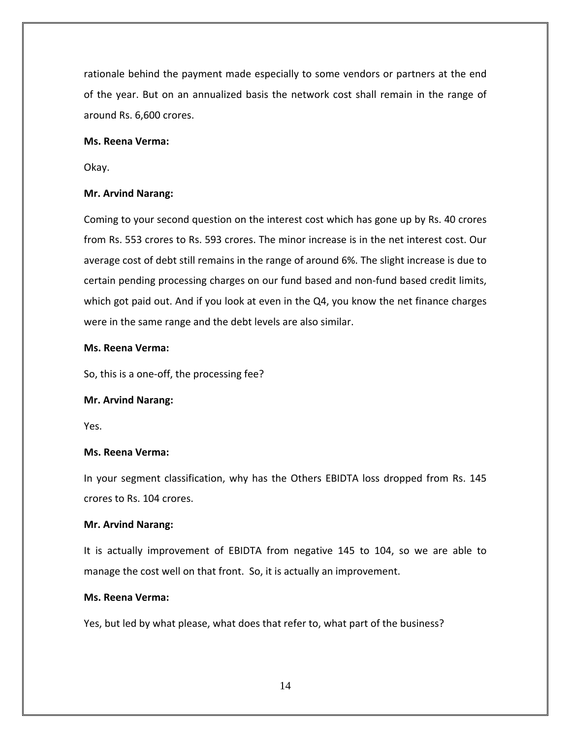rationale behind the payment made especially to some vendors or partners at the end of the year. But on an annualized basis the network cost shall remain in the range of around Rs. 6,600 crores.

### **Ms. Reena Verma:**

Okay.

# **Mr. Arvind Narang:**

Coming to your second question on the interest cost which has gone up by Rs. 40 crores from Rs. 553 crores to Rs. 593 crores. The minor increase is in the net interest cost. Our average cost of debt still remains in the range of around 6%. The slight increase is due to certain pending processing charges on our fund based and non‐fund based credit limits, which got paid out. And if you look at even in the Q4, you know the net finance charges were in the same range and the debt levels are also similar.

# **Ms. Reena Verma:**

So, this is a one‐off, the processing fee?

# **Mr. Arvind Narang:**

Yes.

# **Ms. Reena Verma:**

In your segment classification, why has the Others EBIDTA loss dropped from Rs. 145 crores to Rs. 104 crores.

# **Mr. Arvind Narang:**

It is actually improvement of EBIDTA from negative 145 to 104, so we are able to manage the cost well on that front. So, it is actually an improvement.

# **Ms. Reena Verma:**

Yes, but led by what please, what does that refer to, what part of the business?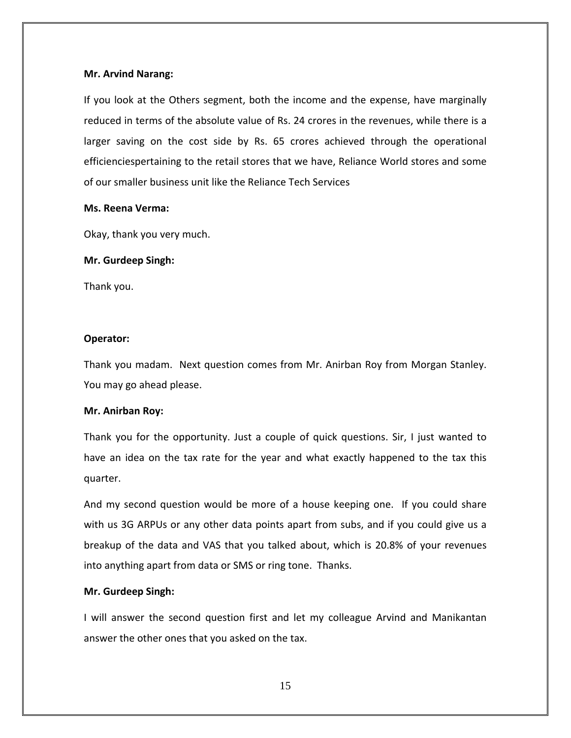### **Mr. Arvind Narang:**

If you look at the Others segment, both the income and the expense, have marginally reduced in terms of the absolute value of Rs. 24 crores in the revenues, while there is a larger saving on the cost side by Rs. 65 crores achieved through the operational efficienciespertaining to the retail stores that we have, Reliance World stores and some of our smaller business unit like the Reliance Tech Services

#### **Ms. Reena Verma:**

Okay, thank you very much.

### **Mr. Gurdeep Singh:**

Thank you.

### **Operator:**

Thank you madam. Next question comes from Mr. Anirban Roy from Morgan Stanley. You may go ahead please.

### **Mr. Anirban Roy:**

Thank you for the opportunity. Just a couple of quick questions. Sir, I just wanted to have an idea on the tax rate for the year and what exactly happened to the tax this quarter.

And my second question would be more of a house keeping one. If you could share with us 3G ARPUs or any other data points apart from subs, and if you could give us a breakup of the data and VAS that you talked about, which is 20.8% of your revenues into anything apart from data or SMS or ring tone. Thanks.

### **Mr. Gurdeep Singh:**

I will answer the second question first and let my colleague Arvind and Manikantan answer the other ones that you asked on the tax.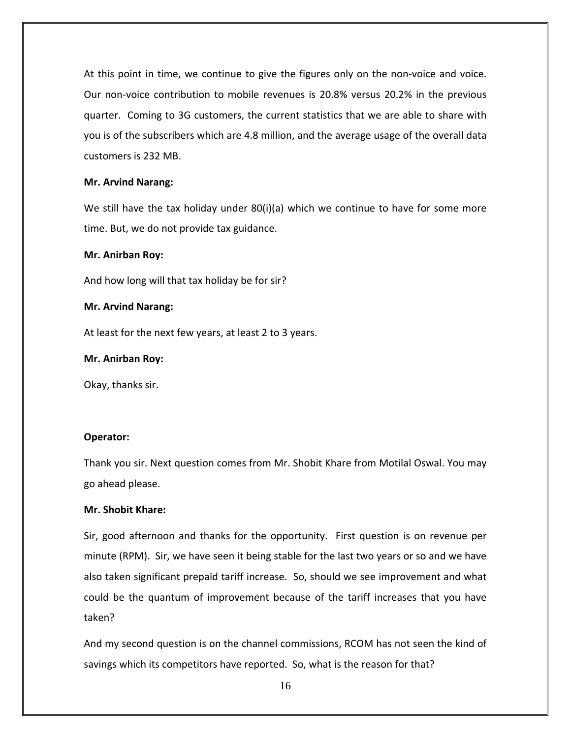At this point in time, we continue to give the figures only on the non‐voice and voice. Our non‐voice contribution to mobile revenues is 20.8% versus 20.2% in the previous quarter. Coming to 3G customers, the current statistics that we are able to share with you is of the subscribers which are 4.8 million, and the average usage of the overall data customers is 232 MB.

### **Mr. Arvind Narang:**

We still have the tax holiday under  $80(i)(a)$  which we continue to have for some more time. But, we do not provide tax guidance.

### **Mr. Anirban Roy:**

And how long will that tax holiday be for sir?

### **Mr. Arvind Narang:**

At least for the next few years, at least 2 to 3 years.

### **Mr. Anirban Roy:**

Okay, thanks sir.

# **Operator:**

Thank you sir. Next question comes from Mr. Shobit Khare from Motilal Oswal. You may go ahead please.

# **Mr. Shobit Khare:**

Sir, good afternoon and thanks for the opportunity. First question is on revenue per minute (RPM). Sir, we have seen it being stable for the last two years or so and we have also taken significant prepaid tariff increase. So, should we see improvement and what could be the quantum of improvement because of the tariff increases that you have taken?

And my second question is on the channel commissions, RCOM has not seen the kind of savings which its competitors have reported. So, what is the reason for that?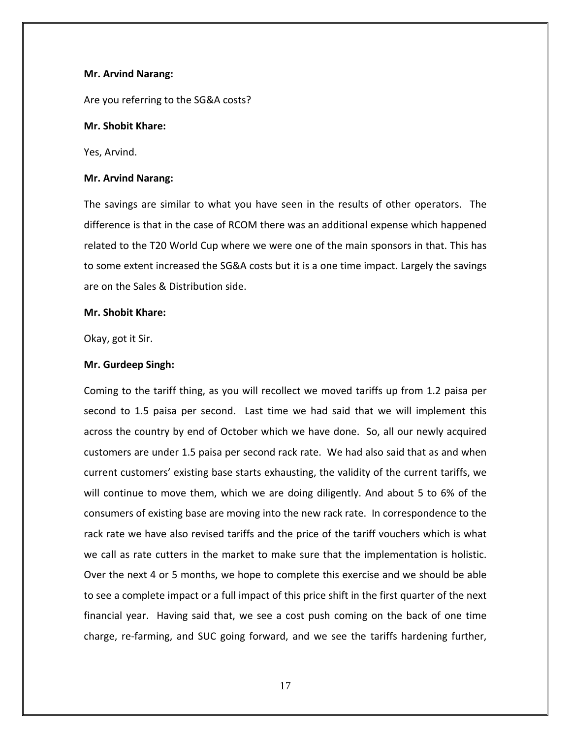#### **Mr. Arvind Narang:**

Are you referring to the SG&A costs?

### **Mr. Shobit Khare:**

Yes, Arvind.

#### **Mr. Arvind Narang:**

The savings are similar to what you have seen in the results of other operators. The difference is that in the case of RCOM there was an additional expense which happened related to the T20 World Cup where we were one of the main sponsors in that. This has to some extent increased the SG&A costs but it is a one time impact. Largely the savings are on the Sales & Distribution side.

#### **Mr. Shobit Khare:**

Okay, got it Sir.

### **Mr. Gurdeep Singh:**

Coming to the tariff thing, as you will recollect we moved tariffs up from 1.2 paisa per second to 1.5 paisa per second. Last time we had said that we will implement this across the country by end of October which we have done. So, all our newly acquired customers are under 1.5 paisa per second rack rate. We had also said that as and when current customers' existing base starts exhausting, the validity of the current tariffs, we will continue to move them, which we are doing diligently. And about 5 to 6% of the consumers of existing base are moving into the new rack rate. In correspondence to the rack rate we have also revised tariffs and the price of the tariff vouchers which is what we call as rate cutters in the market to make sure that the implementation is holistic. Over the next 4 or 5 months, we hope to complete this exercise and we should be able to see a complete impact or a full impact of this price shift in the first quarter of the next financial year. Having said that, we see a cost push coming on the back of one time charge, re‐farming, and SUC going forward, and we see the tariffs hardening further,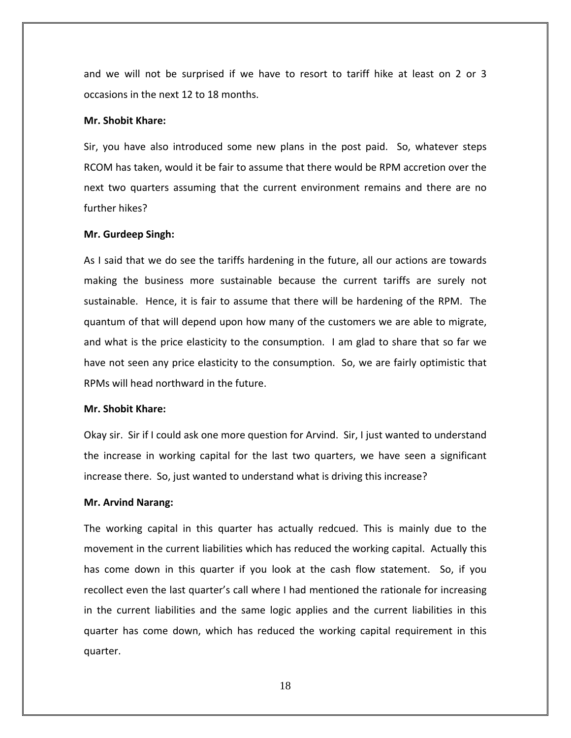and we will not be surprised if we have to resort to tariff hike at least on 2 or 3 occasions in the next 12 to 18 months.

#### **Mr. Shobit Khare:**

Sir, you have also introduced some new plans in the post paid. So, whatever steps RCOM has taken, would it be fair to assume that there would be RPM accretion over the next two quarters assuming that the current environment remains and there are no further hikes?

#### **Mr. Gurdeep Singh:**

As I said that we do see the tariffs hardening in the future, all our actions are towards making the business more sustainable because the current tariffs are surely not sustainable. Hence, it is fair to assume that there will be hardening of the RPM. The quantum of that will depend upon how many of the customers we are able to migrate, and what is the price elasticity to the consumption. I am glad to share that so far we have not seen any price elasticity to the consumption. So, we are fairly optimistic that RPMs will head northward in the future.

#### **Mr. Shobit Khare:**

Okay sir. Sir if I could ask one more question for Arvind. Sir, I just wanted to understand the increase in working capital for the last two quarters, we have seen a significant increase there. So, just wanted to understand what is driving this increase?

#### **Mr. Arvind Narang:**

The working capital in this quarter has actually redcued. This is mainly due to the movement in the current liabilities which has reduced the working capital. Actually this has come down in this quarter if you look at the cash flow statement. So, if you recollect even the last quarter's call where I had mentioned the rationale for increasing in the current liabilities and the same logic applies and the current liabilities in this quarter has come down, which has reduced the working capital requirement in this quarter.

18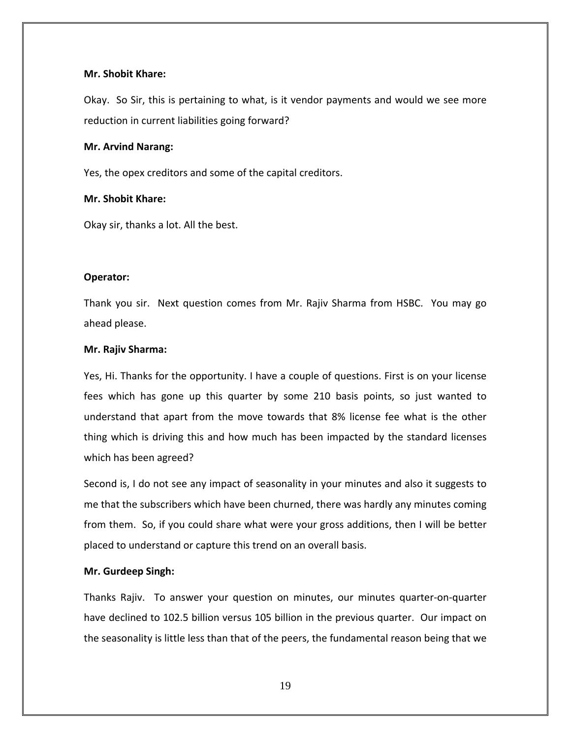### **Mr. Shobit Khare:**

Okay. So Sir, this is pertaining to what, is it vendor payments and would we see more reduction in current liabilities going forward?

#### **Mr. Arvind Narang:**

Yes, the opex creditors and some of the capital creditors.

#### **Mr. Shobit Khare:**

Okay sir, thanks a lot. All the best.

#### **Operator:**

Thank you sir. Next question comes from Mr. Rajiv Sharma from HSBC. You may go ahead please.

#### **Mr. Rajiv Sharma:**

Yes, Hi. Thanks for the opportunity. I have a couple of questions. First is on your license fees which has gone up this quarter by some 210 basis points, so just wanted to understand that apart from the move towards that 8% license fee what is the other thing which is driving this and how much has been impacted by the standard licenses which has been agreed?

Second is, I do not see any impact of seasonality in your minutes and also it suggests to me that the subscribers which have been churned, there was hardly any minutes coming from them. So, if you could share what were your gross additions, then I will be better placed to understand or capture this trend on an overall basis.

### **Mr. Gurdeep Singh:**

Thanks Rajiv. To answer your question on minutes, our minutes quarter‐on‐quarter have declined to 102.5 billion versus 105 billion in the previous quarter. Our impact on the seasonality is little less than that of the peers, the fundamental reason being that we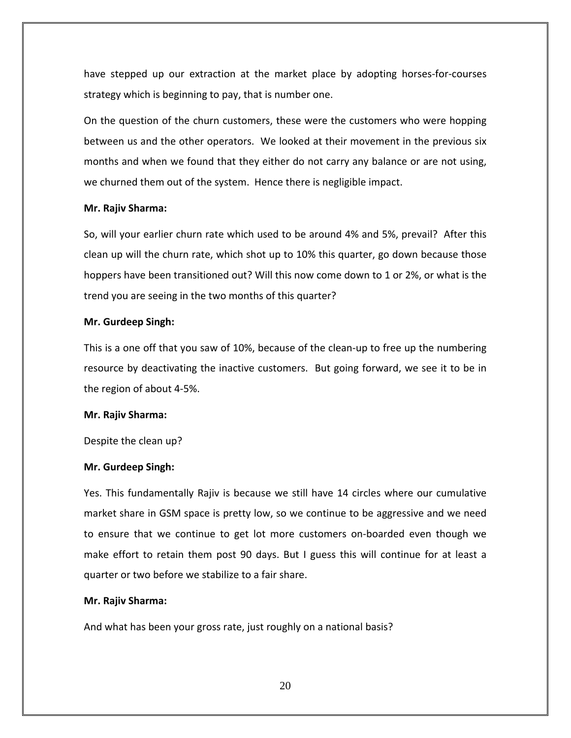have stepped up our extraction at the market place by adopting horses‐for‐courses strategy which is beginning to pay, that is number one.

On the question of the churn customers, these were the customers who were hopping between us and the other operators. We looked at their movement in the previous six months and when we found that they either do not carry any balance or are not using, we churned them out of the system. Hence there is negligible impact.

#### **Mr. Rajiv Sharma:**

So, will your earlier churn rate which used to be around 4% and 5%, prevail? After this clean up will the churn rate, which shot up to 10% this quarter, go down because those hoppers have been transitioned out? Will this now come down to 1 or 2%, or what is the trend you are seeing in the two months of this quarter?

#### **Mr. Gurdeep Singh:**

This is a one off that you saw of 10%, because of the clean‐up to free up the numbering resource by deactivating the inactive customers. But going forward, we see it to be in the region of about 4‐5%.

#### **Mr. Rajiv Sharma:**

Despite the clean up?

### **Mr. Gurdeep Singh:**

Yes. This fundamentally Rajiv is because we still have 14 circles where our cumulative market share in GSM space is pretty low, so we continue to be aggressive and we need to ensure that we continue to get lot more customers on‐boarded even though we make effort to retain them post 90 days. But I guess this will continue for at least a quarter or two before we stabilize to a fair share.

#### **Mr. Rajiv Sharma:**

And what has been your gross rate, just roughly on a national basis?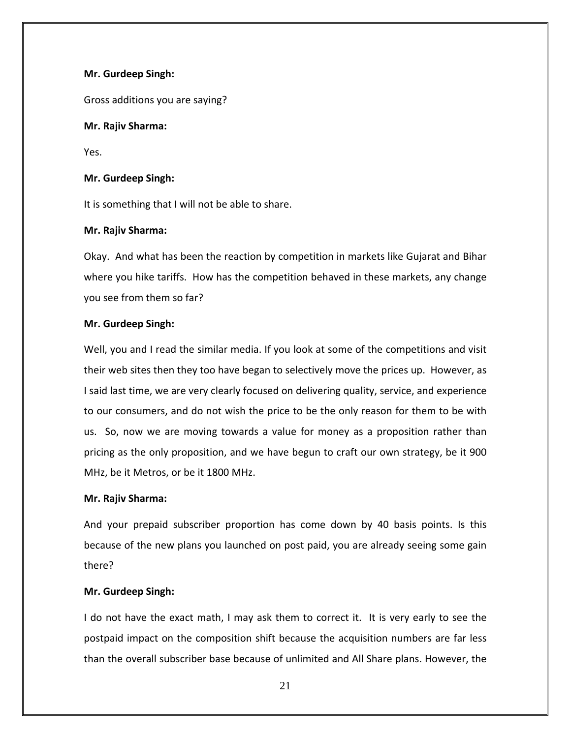### **Mr. Gurdeep Singh:**

Gross additions you are saying?

## **Mr. Rajiv Sharma:**

Yes.

## **Mr. Gurdeep Singh:**

It is something that I will not be able to share.

### **Mr. Rajiv Sharma:**

Okay. And what has been the reaction by competition in markets like Gujarat and Bihar where you hike tariffs. How has the competition behaved in these markets, any change you see from them so far?

### **Mr. Gurdeep Singh:**

Well, you and I read the similar media. If you look at some of the competitions and visit their web sites then they too have began to selectively move the prices up. However, as I said last time, we are very clearly focused on delivering quality, service, and experience to our consumers, and do not wish the price to be the only reason for them to be with us. So, now we are moving towards a value for money as a proposition rather than pricing as the only proposition, and we have begun to craft our own strategy, be it 900 MHz, be it Metros, or be it 1800 MHz.

### **Mr. Rajiv Sharma:**

And your prepaid subscriber proportion has come down by 40 basis points. Is this because of the new plans you launched on post paid, you are already seeing some gain there?

# **Mr. Gurdeep Singh:**

I do not have the exact math, I may ask them to correct it. It is very early to see the postpaid impact on the composition shift because the acquisition numbers are far less than the overall subscriber base because of unlimited and All Share plans. However, the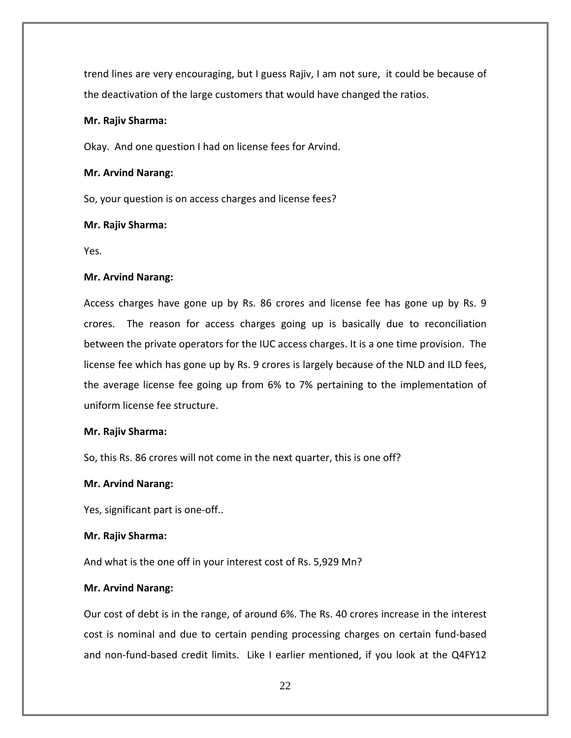trend lines are very encouraging, but I guess Rajiv, I am not sure, it could be because of the deactivation of the large customers that would have changed the ratios.

### **Mr. Rajiv Sharma:**

Okay. And one question I had on license fees for Arvind.

### **Mr. Arvind Narang:**

So, your question is on access charges and license fees?

### **Mr. Rajiv Sharma:**

Yes.

### **Mr. Arvind Narang:**

Access charges have gone up by Rs. 86 crores and license fee has gone up by Rs. 9 crores. The reason for access charges going up is basically due to reconciliation between the private operators for the IUC access charges. It is a one time provision. The license fee which has gone up by Rs. 9 crores is largely because of the NLD and ILD fees, the average license fee going up from 6% to 7% pertaining to the implementation of uniform license fee structure.

# **Mr. Rajiv Sharma:**

So, this Rs. 86 crores will not come in the next quarter, this is one off?

# **Mr. Arvind Narang:**

Yes, significant part is one‐off..

# **Mr. Rajiv Sharma:**

And what is the one off in your interest cost of Rs. 5,929 Mn?

# **Mr. Arvind Narang:**

Our cost of debt is in the range, of around 6%. The Rs. 40 crores increase in the interest cost is nominal and due to certain pending processing charges on certain fund‐based and non-fund-based credit limits. Like I earlier mentioned, if you look at the Q4FY12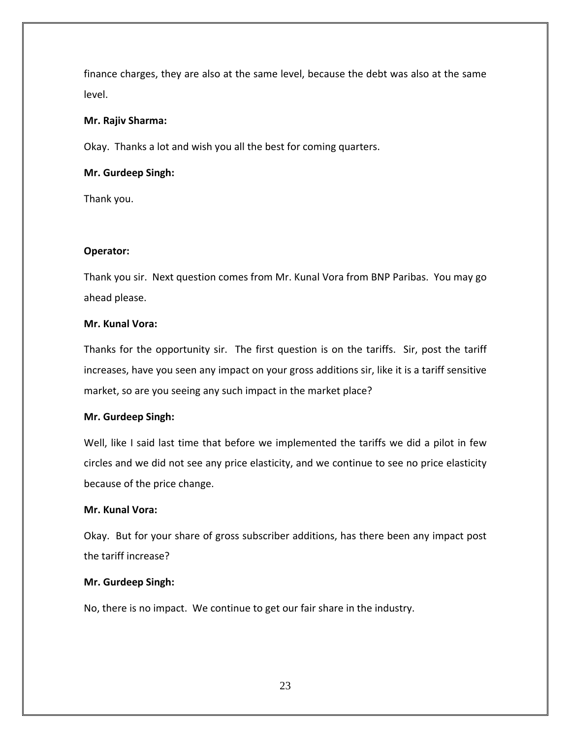finance charges, they are also at the same level, because the debt was also at the same level.

### **Mr. Rajiv Sharma:**

Okay. Thanks a lot and wish you all the best for coming quarters.

### **Mr. Gurdeep Singh:**

Thank you.

# **Operator:**

Thank you sir. Next question comes from Mr. Kunal Vora from BNP Paribas. You may go ahead please.

### **Mr. Kunal Vora:**

Thanks for the opportunity sir. The first question is on the tariffs. Sir, post the tariff increases, have you seen any impact on your gross additions sir, like it is a tariff sensitive market, so are you seeing any such impact in the market place?

### **Mr. Gurdeep Singh:**

Well, like I said last time that before we implemented the tariffs we did a pilot in few circles and we did not see any price elasticity, and we continue to see no price elasticity because of the price change.

# **Mr. Kunal Vora:**

Okay. But for your share of gross subscriber additions, has there been any impact post the tariff increase?

# **Mr. Gurdeep Singh:**

No, there is no impact. We continue to get our fair share in the industry.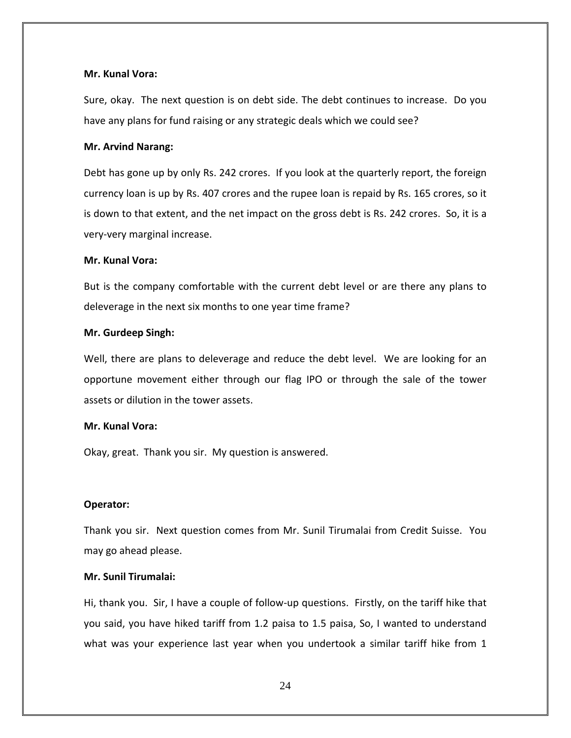#### **Mr. Kunal Vora:**

Sure, okay. The next question is on debt side. The debt continues to increase. Do you have any plans for fund raising or any strategic deals which we could see?

#### **Mr. Arvind Narang:**

Debt has gone up by only Rs. 242 crores. If you look at the quarterly report, the foreign currency loan is up by Rs. 407 crores and the rupee loan is repaid by Rs. 165 crores, so it is down to that extent, and the net impact on the gross debt is Rs. 242 crores. So, it is a very‐very marginal increase.

#### **Mr. Kunal Vora:**

But is the company comfortable with the current debt level or are there any plans to deleverage in the next six months to one year time frame?

#### **Mr. Gurdeep Singh:**

Well, there are plans to deleverage and reduce the debt level. We are looking for an opportune movement either through our flag IPO or through the sale of the tower assets or dilution in the tower assets.

### **Mr. Kunal Vora:**

Okay, great. Thank you sir. My question is answered.

### **Operator:**

Thank you sir. Next question comes from Mr. Sunil Tirumalai from Credit Suisse. You may go ahead please.

### **Mr. Sunil Tirumalai:**

Hi, thank you. Sir, I have a couple of follow‐up questions. Firstly, on the tariff hike that you said, you have hiked tariff from 1.2 paisa to 1.5 paisa, So, I wanted to understand what was your experience last year when you undertook a similar tariff hike from 1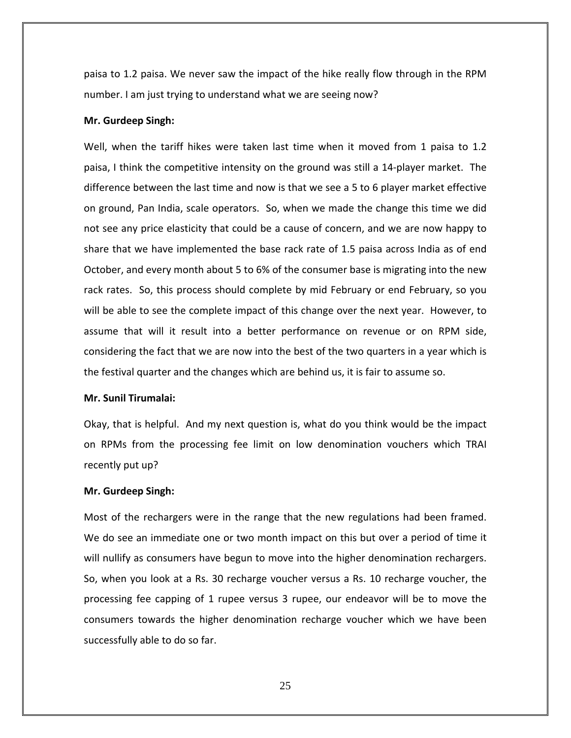paisa to 1.2 paisa. We never saw the impact of the hike really flow through in the RPM number. I am just trying to understand what we are seeing now?

#### **Mr. Gurdeep Singh:**

Well, when the tariff hikes were taken last time when it moved from 1 paisa to 1.2 paisa, I think the competitive intensity on the ground was still a 14‐player market. The difference between the last time and now is that we see a 5 to 6 player market effective on ground, Pan India, scale operators. So, when we made the change this time we did not see any price elasticity that could be a cause of concern, and we are now happy to share that we have implemented the base rack rate of 1.5 paisa across India as of end October, and every month about 5 to 6% of the consumer base is migrating into the new rack rates. So, this process should complete by mid February or end February, so you will be able to see the complete impact of this change over the next year. However, to assume that will it result into a better performance on revenue or on RPM side, considering the fact that we are now into the best of the two quarters in a year which is the festival quarter and the changes which are behind us, it is fair to assume so.

#### **Mr. Sunil Tirumalai:**

Okay, that is helpful. And my next question is, what do you think would be the impact on RPMs from the processing fee limit on low denomination vouchers which TRAI recently put up?

#### **Mr. Gurdeep Singh:**

Most of the rechargers were in the range that the new regulations had been framed. We do see an immediate one or two month impact on this but over a period of time it will nullify as consumers have begun to move into the higher denomination rechargers. So, when you look at a Rs. 30 recharge voucher versus a Rs. 10 recharge voucher, the processing fee capping of 1 rupee versus 3 rupee, our endeavor will be to move the consumers towards the higher denomination recharge voucher which we have been successfully able to do so far.

25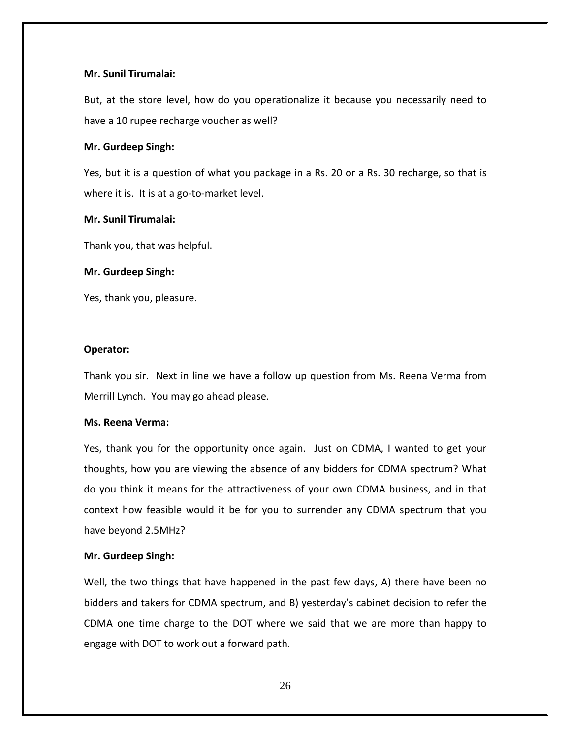### **Mr. Sunil Tirumalai:**

But, at the store level, how do you operationalize it because you necessarily need to have a 10 rupee recharge voucher as well?

#### **Mr. Gurdeep Singh:**

Yes, but it is a question of what you package in a Rs. 20 or a Rs. 30 recharge, so that is where it is. It is at a go-to-market level.

#### **Mr. Sunil Tirumalai:**

Thank you, that was helpful.

#### **Mr. Gurdeep Singh:**

Yes, thank you, pleasure.

### **Operator:**

Thank you sir. Next in line we have a follow up question from Ms. Reena Verma from Merrill Lynch. You may go ahead please.

### **Ms. Reena Verma:**

Yes, thank you for the opportunity once again. Just on CDMA, I wanted to get your thoughts, how you are viewing the absence of any bidders for CDMA spectrum? What do you think it means for the attractiveness of your own CDMA business, and in that context how feasible would it be for you to surrender any CDMA spectrum that you have beyond 2.5MHz?

### **Mr. Gurdeep Singh:**

Well, the two things that have happened in the past few days, A) there have been no bidders and takers for CDMA spectrum, and B) yesterday's cabinet decision to refer the CDMA one time charge to the DOT where we said that we are more than happy to engage with DOT to work out a forward path.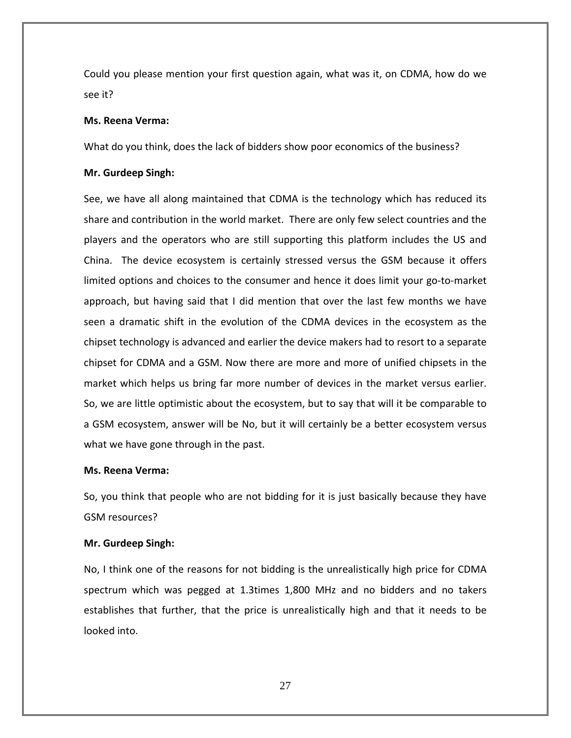Could you please mention your first question again, what was it, on CDMA, how do we see it?

#### **Ms. Reena Verma:**

What do you think, does the lack of bidders show poor economics of the business?

#### **Mr. Gurdeep Singh:**

See, we have all along maintained that CDMA is the technology which has reduced its share and contribution in the world market. There are only few select countries and the players and the operators who are still supporting this platform includes the US and China. The device ecosystem is certainly stressed versus the GSM because it offers limited options and choices to the consumer and hence it does limit your go-to-market approach, but having said that I did mention that over the last few months we have seen a dramatic shift in the evolution of the CDMA devices in the ecosystem as the chipset technology is advanced and earlier the device makers had to resort to a separate chipset for CDMA and a GSM. Now there are more and more of unified chipsets in the market which helps us bring far more number of devices in the market versus earlier. So, we are little optimistic about the ecosystem, but to say that will it be comparable to a GSM ecosystem, answer will be No, but it will certainly be a better ecosystem versus what we have gone through in the past.

#### **Ms. Reena Verma:**

So, you think that people who are not bidding for it is just basically because they have GSM resources?

#### **Mr. Gurdeep Singh:**

No, I think one of the reasons for not bidding is the unrealistically high price for CDMA spectrum which was pegged at 1.3times 1,800 MHz and no bidders and no takers establishes that further, that the price is unrealistically high and that it needs to be looked into.

27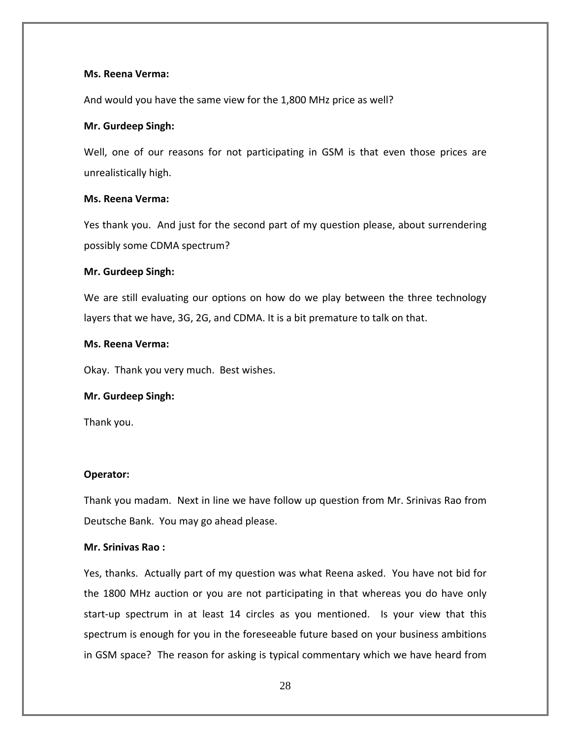### **Ms. Reena Verma:**

And would you have the same view for the 1,800 MHz price as well?

### **Mr. Gurdeep Singh:**

Well, one of our reasons for not participating in GSM is that even those prices are unrealistically high.

### **Ms. Reena Verma:**

Yes thank you. And just for the second part of my question please, about surrendering possibly some CDMA spectrum?

### **Mr. Gurdeep Singh:**

We are still evaluating our options on how do we play between the three technology layers that we have, 3G, 2G, and CDMA. It is a bit premature to talk on that.

### **Ms. Reena Verma:**

Okay. Thank you very much. Best wishes.

### **Mr. Gurdeep Singh:**

Thank you.

# **Operator:**

Thank you madam. Next in line we have follow up question from Mr. Srinivas Rao from Deutsche Bank. You may go ahead please.

### **Mr. Srinivas Rao :**

Yes, thanks. Actually part of my question was what Reena asked. You have not bid for the 1800 MHz auction or you are not participating in that whereas you do have only start-up spectrum in at least 14 circles as you mentioned. Is your view that this spectrum is enough for you in the foreseeable future based on your business ambitions in GSM space? The reason for asking is typical commentary which we have heard from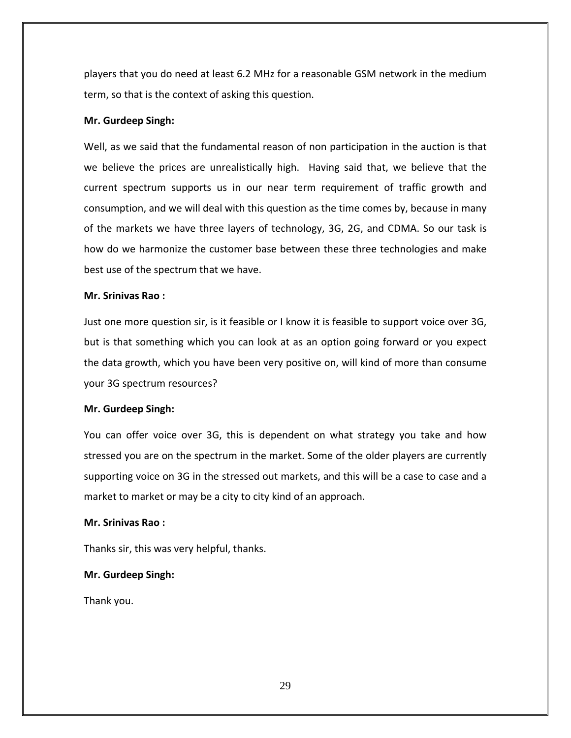players that you do need at least 6.2 MHz for a reasonable GSM network in the medium term, so that is the context of asking this question.

# **Mr. Gurdeep Singh:**

Well, as we said that the fundamental reason of non participation in the auction is that we believe the prices are unrealistically high. Having said that, we believe that the current spectrum supports us in our near term requirement of traffic growth and consumption, and we will deal with this question as the time comes by, because in many of the markets we have three layers of technology, 3G, 2G, and CDMA. So our task is how do we harmonize the customer base between these three technologies and make best use of the spectrum that we have.

### **Mr. Srinivas Rao :**

Just one more question sir, is it feasible or I know it is feasible to support voice over 3G, but is that something which you can look at as an option going forward or you expect the data growth, which you have been very positive on, will kind of more than consume your 3G spectrum resources?

### **Mr. Gurdeep Singh:**

You can offer voice over 3G, this is dependent on what strategy you take and how stressed you are on the spectrum in the market. Some of the older players are currently supporting voice on 3G in the stressed out markets, and this will be a case to case and a market to market or may be a city to city kind of an approach.

### **Mr. Srinivas Rao :**

Thanks sir, this was very helpful, thanks.

### **Mr. Gurdeep Singh:**

Thank you.